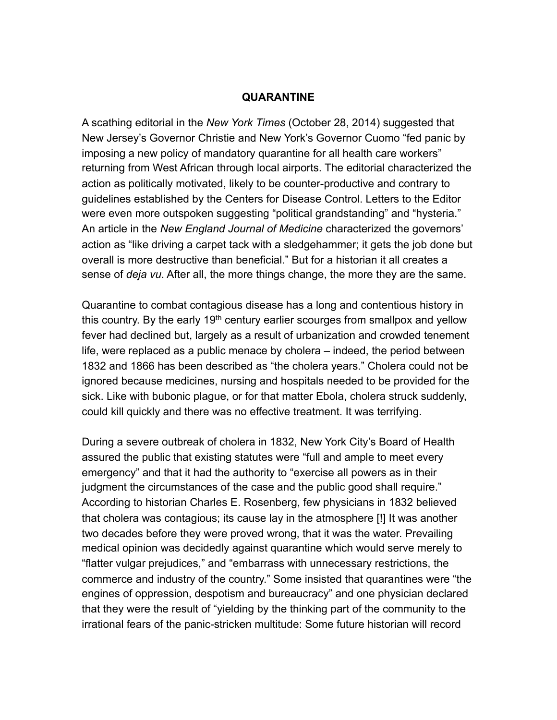## **QUARANTINE**

A scathing editorial in the *New York Times* (October 28, 2014) suggested that New Jersey's Governor Christie and New York's Governor Cuomo "fed panic by imposing a new policy of mandatory quarantine for all health care workers" returning from West African through local airports. The editorial characterized the action as politically motivated, likely to be counter-productive and contrary to guidelines established by the Centers for Disease Control. Letters to the Editor were even more outspoken suggesting "political grandstanding" and "hysteria." An article in the *New England Journal of Medicine* characterized the governors' action as "like driving a carpet tack with a sledgehammer; it gets the job done but overall is more destructive than beneficial." But for a historian it all creates a sense of *deja vu*. After all, the more things change, the more they are the same.

Quarantine to combat contagious disease has a long and contentious history in this country. By the early 19<sup>th</sup> century earlier scourges from smallpox and yellow fever had declined but, largely as a result of urbanization and crowded tenement life, were replaced as a public menace by cholera – indeed, the period between 1832 and 1866 has been described as "the cholera years." Cholera could not be ignored because medicines, nursing and hospitals needed to be provided for the sick. Like with bubonic plague, or for that matter Ebola, cholera struck suddenly, could kill quickly and there was no effective treatment. It was terrifying.

During a severe outbreak of cholera in 1832, New York City's Board of Health assured the public that existing statutes were "full and ample to meet every emergency" and that it had the authority to "exercise all powers as in their judgment the circumstances of the case and the public good shall require." According to historian Charles E. Rosenberg, few physicians in 1832 believed that cholera was contagious; its cause lay in the atmosphere [!] It was another two decades before they were proved wrong, that it was the water. Prevailing medical opinion was decidedly against quarantine which would serve merely to "flatter vulgar prejudices," and "embarrass with unnecessary restrictions, the commerce and industry of the country." Some insisted that quarantines were "the engines of oppression, despotism and bureaucracy" and one physician declared that they were the result of "yielding by the thinking part of the community to the irrational fears of the panic-stricken multitude: Some future historian will record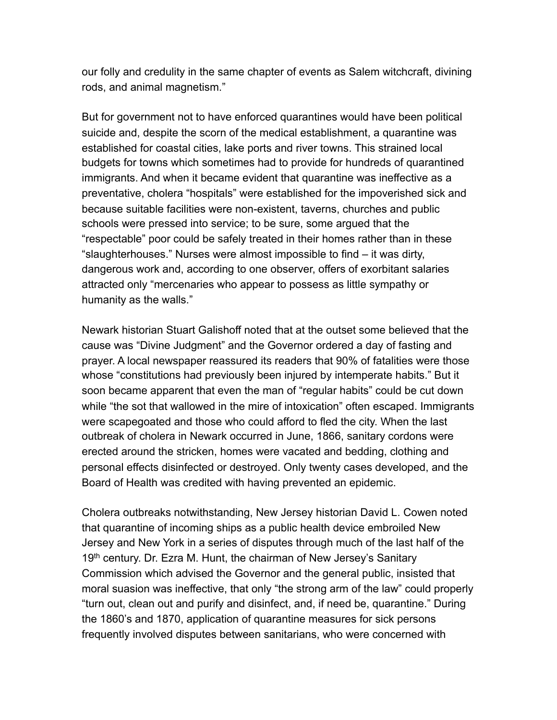our folly and credulity in the same chapter of events as Salem witchcraft, divining rods, and animal magnetism."

But for government not to have enforced quarantines would have been political suicide and, despite the scorn of the medical establishment, a quarantine was established for coastal cities, lake ports and river towns. This strained local budgets for towns which sometimes had to provide for hundreds of quarantined immigrants. And when it became evident that quarantine was ineffective as a preventative, cholera "hospitals" were established for the impoverished sick and because suitable facilities were non-existent, taverns, churches and public schools were pressed into service; to be sure, some argued that the "respectable" poor could be safely treated in their homes rather than in these "slaughterhouses." Nurses were almost impossible to find – it was dirty, dangerous work and, according to one observer, offers of exorbitant salaries attracted only "mercenaries who appear to possess as little sympathy or humanity as the walls."

Newark historian Stuart Galishoff noted that at the outset some believed that the cause was "Divine Judgment" and the Governor ordered a day of fasting and prayer. A local newspaper reassured its readers that 90% of fatalities were those whose "constitutions had previously been injured by intemperate habits." But it soon became apparent that even the man of "regular habits" could be cut down while "the sot that wallowed in the mire of intoxication" often escaped. Immigrants were scapegoated and those who could afford to fled the city. When the last outbreak of cholera in Newark occurred in June, 1866, sanitary cordons were erected around the stricken, homes were vacated and bedding, clothing and personal effects disinfected or destroyed. Only twenty cases developed, and the Board of Health was credited with having prevented an epidemic.

Cholera outbreaks notwithstanding, New Jersey historian David L. Cowen noted that quarantine of incoming ships as a public health device embroiled New Jersey and New York in a series of disputes through much of the last half of the 19<sup>th</sup> century. Dr. Ezra M. Hunt, the chairman of New Jersey's Sanitary Commission which advised the Governor and the general public, insisted that moral suasion was ineffective, that only "the strong arm of the law" could properly "turn out, clean out and purify and disinfect, and, if need be, quarantine." During the 1860's and 1870, application of quarantine measures for sick persons frequently involved disputes between sanitarians, who were concerned with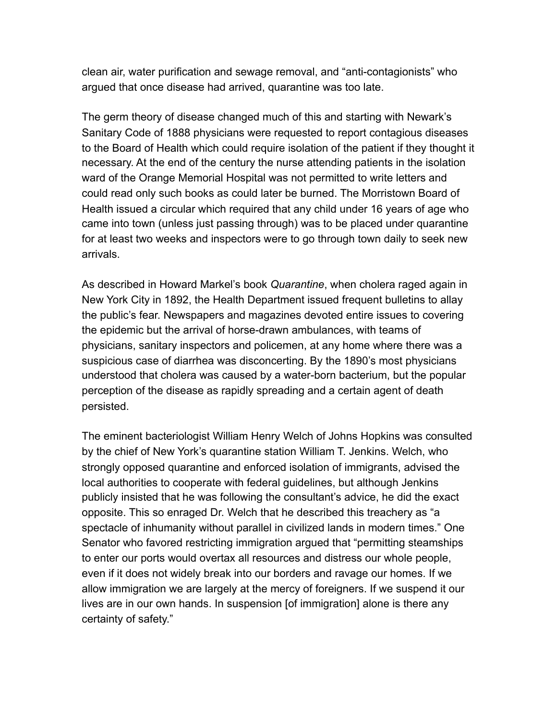clean air, water purification and sewage removal, and "anti-contagionists" who argued that once disease had arrived, quarantine was too late.

The germ theory of disease changed much of this and starting with Newark's Sanitary Code of 1888 physicians were requested to report contagious diseases to the Board of Health which could require isolation of the patient if they thought it necessary. At the end of the century the nurse attending patients in the isolation ward of the Orange Memorial Hospital was not permitted to write letters and could read only such books as could later be burned. The Morristown Board of Health issued a circular which required that any child under 16 years of age who came into town (unless just passing through) was to be placed under quarantine for at least two weeks and inspectors were to go through town daily to seek new arrivals.

As described in Howard Markel's book *Quarantine*, when cholera raged again in New York City in 1892, the Health Department issued frequent bulletins to allay the public's fear. Newspapers and magazines devoted entire issues to covering the epidemic but the arrival of horse-drawn ambulances, with teams of physicians, sanitary inspectors and policemen, at any home where there was a suspicious case of diarrhea was disconcerting. By the 1890's most physicians understood that cholera was caused by a water-born bacterium, but the popular perception of the disease as rapidly spreading and a certain agent of death persisted.

The eminent bacteriologist William Henry Welch of Johns Hopkins was consulted by the chief of New York's quarantine station William T. Jenkins. Welch, who strongly opposed quarantine and enforced isolation of immigrants, advised the local authorities to cooperate with federal guidelines, but although Jenkins publicly insisted that he was following the consultant's advice, he did the exact opposite. This so enraged Dr. Welch that he described this treachery as "a spectacle of inhumanity without parallel in civilized lands in modern times." One Senator who favored restricting immigration argued that "permitting steamships to enter our ports would overtax all resources and distress our whole people, even if it does not widely break into our borders and ravage our homes. If we allow immigration we are largely at the mercy of foreigners. If we suspend it our lives are in our own hands. In suspension [of immigration] alone is there any certainty of safety."